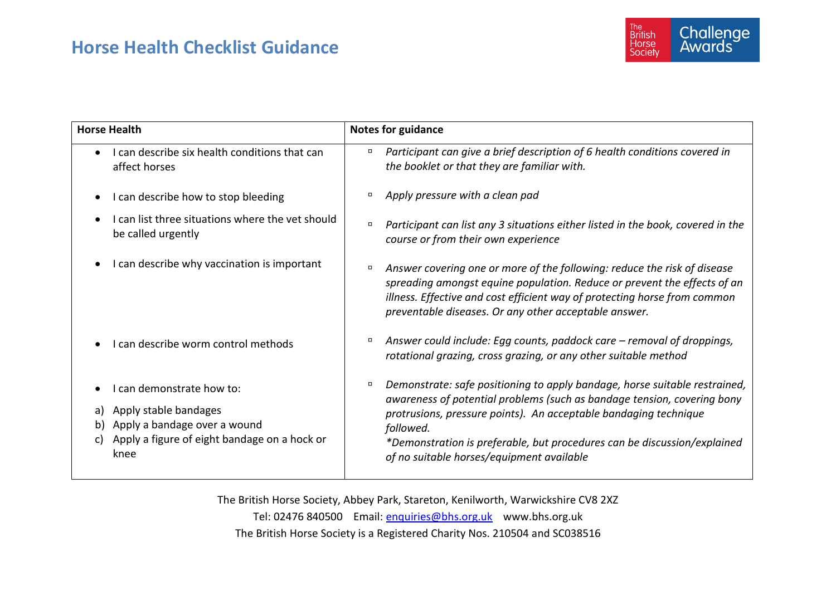## **Horse Health Checklist Guidance**



| <b>Horse Health</b>                          |                                                                              | <b>Notes for guidance</b> |                                                                                                                                                                                                                                                                                            |
|----------------------------------------------|------------------------------------------------------------------------------|---------------------------|--------------------------------------------------------------------------------------------------------------------------------------------------------------------------------------------------------------------------------------------------------------------------------------------|
| affect horses                                | I can describe six health conditions that can                                | $\Box$                    | Participant can give a brief description of 6 health conditions covered in<br>the booklet or that they are familiar with.                                                                                                                                                                  |
|                                              | I can describe how to stop bleeding                                          | о                         | Apply pressure with a clean pad                                                                                                                                                                                                                                                            |
| be called urgently                           | I can list three situations where the vet should                             | $\Box$                    | Participant can list any 3 situations either listed in the book, covered in the<br>course or from their own experience                                                                                                                                                                     |
|                                              | I can describe why vaccination is important                                  | $\Box$                    | Answer covering one or more of the following: reduce the risk of disease<br>spreading amongst equine population. Reduce or prevent the effects of an<br>illness. Effective and cost efficient way of protecting horse from common<br>preventable diseases. Or any other acceptable answer. |
|                                              | I can describe worm control methods                                          | о                         | Answer could include: Egg counts, paddock care – removal of droppings,<br>rotational grazing, cross grazing, or any other suitable method                                                                                                                                                  |
| I can demonstrate how to:                    |                                                                              | $\Box$                    | Demonstrate: safe positioning to apply bandage, horse suitable restrained,                                                                                                                                                                                                                 |
| a) Apply stable bandages<br>b)<br>C)<br>knee | Apply a bandage over a wound<br>Apply a figure of eight bandage on a hock or |                           | awareness of potential problems (such as bandage tension, covering bony<br>protrusions, pressure points). An acceptable bandaging technique<br>followed.<br>*Demonstration is preferable, but procedures can be discussion/explained<br>of no suitable horses/equipment available          |

The British Horse Society, Abbey Park, Stareton, Kenilworth, Warwickshire CV8 2XZ Tel: 02476 840500 Email: [enquiries@bhs.org.uk](mailto:enquiries@bhs.org.uk) www.bhs.org.uk The British Horse Society is a Registered Charity Nos. 210504 and SC038516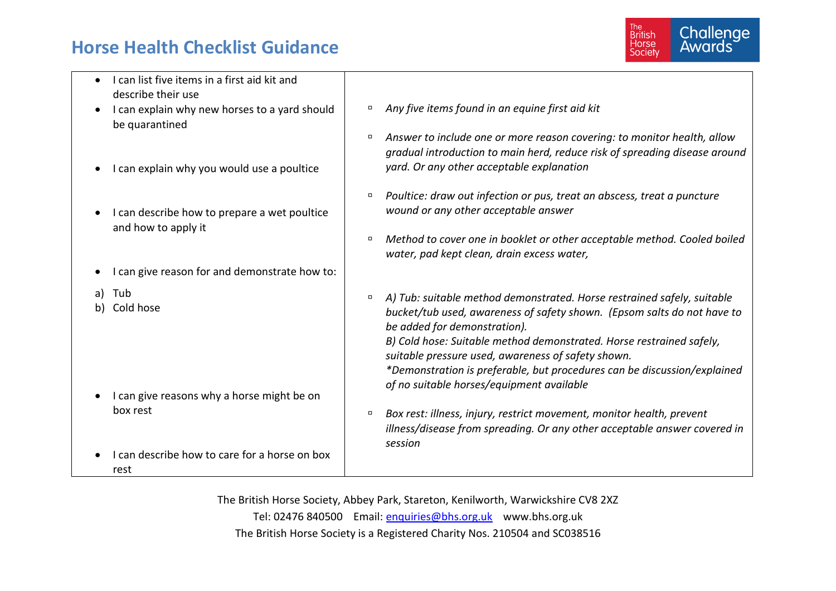## **Horse Health Checklist Guidance**



| I can list five items in a first aid kit and  |                                                                                                                                                                 |
|-----------------------------------------------|-----------------------------------------------------------------------------------------------------------------------------------------------------------------|
| describe their use                            |                                                                                                                                                                 |
| I can explain why new horses to a yard should | Any five items found in an equine first aid kit                                                                                                                 |
| be quarantined                                |                                                                                                                                                                 |
|                                               | Answer to include one or more reason covering: to monitor health, allow<br>$\Box$<br>gradual introduction to main herd, reduce risk of spreading disease around |
| I can explain why you would use a poultice    | yard. Or any other acceptable explanation                                                                                                                       |
|                                               | Poultice: draw out infection or pus, treat an abscess, treat a puncture<br>п                                                                                    |
| I can describe how to prepare a wet poultice  | wound or any other acceptable answer                                                                                                                            |
| and how to apply it                           |                                                                                                                                                                 |
|                                               | Method to cover one in booklet or other acceptable method. Cooled boiled                                                                                        |
|                                               | water, pad kept clean, drain excess water,                                                                                                                      |
| I can give reason for and demonstrate how to: |                                                                                                                                                                 |
| Tub<br>a l                                    | A) Tub: suitable method demonstrated. Horse restrained safely, suitable                                                                                         |
| Cold hose<br>b)                               | bucket/tub used, awareness of safety shown. (Epsom salts do not have to                                                                                         |
|                                               | be added for demonstration).                                                                                                                                    |
|                                               | B) Cold hose: Suitable method demonstrated. Horse restrained safely,                                                                                            |
|                                               | suitable pressure used, awareness of safety shown.                                                                                                              |
|                                               | *Demonstration is preferable, but procedures can be discussion/explained                                                                                        |
|                                               | of no suitable horses/equipment available                                                                                                                       |
| I can give reasons why a horse might be on    |                                                                                                                                                                 |
| box rest                                      | Box rest: illness, injury, restrict movement, monitor health, prevent<br>$\Box$                                                                                 |
|                                               | illness/disease from spreading. Or any other acceptable answer covered in                                                                                       |
|                                               | session                                                                                                                                                         |
| I can describe how to care for a horse on box |                                                                                                                                                                 |
| rest                                          |                                                                                                                                                                 |

The British Horse Society, Abbey Park, Stareton, Kenilworth, Warwickshire CV8 2XZ Tel: 02476 840500 Email: [enquiries@bhs.org.uk](mailto:enquiries@bhs.org.uk) www.bhs.org.uk The British Horse Society is a Registered Charity Nos. 210504 and SC038516